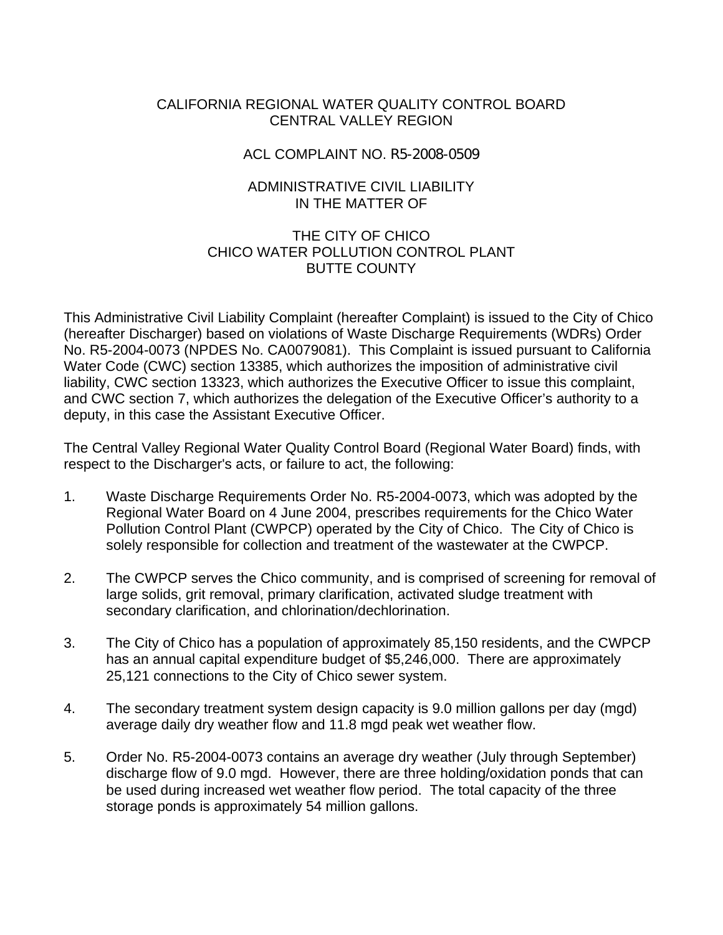### CALIFORNIA REGIONAL WATER QUALITY CONTROL BOARD CENTRAL VALLEY REGION

### ACL COMPLAINT NO. R5-2008-0509

## ADMINISTRATIVE CIVIL LIABILITY IN THE MATTER OF

#### THE CITY OF CHICO CHICO WATER POLLUTION CONTROL PLANT BUTTE COUNTY

This Administrative Civil Liability Complaint (hereafter Complaint) is issued to the City of Chico (hereafter Discharger) based on violations of Waste Discharge Requirements (WDRs) Order No. R5-2004-0073 (NPDES No. CA0079081). This Complaint is issued pursuant to California Water Code (CWC) section 13385, which authorizes the imposition of administrative civil liability, CWC section 13323, which authorizes the Executive Officer to issue this complaint, and CWC section 7, which authorizes the delegation of the Executive Officer's authority to a deputy, in this case the Assistant Executive Officer.

The Central Valley Regional Water Quality Control Board (Regional Water Board) finds, with respect to the Discharger's acts, or failure to act, the following:

- 1. Waste Discharge Requirements Order No. R5-2004-0073, which was adopted by the Regional Water Board on 4 June 2004, prescribes requirements for the Chico Water Pollution Control Plant (CWPCP) operated by the City of Chico. The City of Chico is solely responsible for collection and treatment of the wastewater at the CWPCP.
- 2. The CWPCP serves the Chico community, and is comprised of screening for removal of large solids, grit removal, primary clarification, activated sludge treatment with secondary clarification, and chlorination/dechlorination.
- 3. The City of Chico has a population of approximately 85,150 residents, and the CWPCP has an annual capital expenditure budget of \$5,246,000. There are approximately 25,121 connections to the City of Chico sewer system.
- 4. The secondary treatment system design capacity is 9.0 million gallons per day (mgd) average daily dry weather flow and 11.8 mgd peak wet weather flow.
- 5. Order No. R5-2004-0073 contains an average dry weather (July through September) discharge flow of 9.0 mgd. However, there are three holding/oxidation ponds that can be used during increased wet weather flow period. The total capacity of the three storage ponds is approximately 54 million gallons.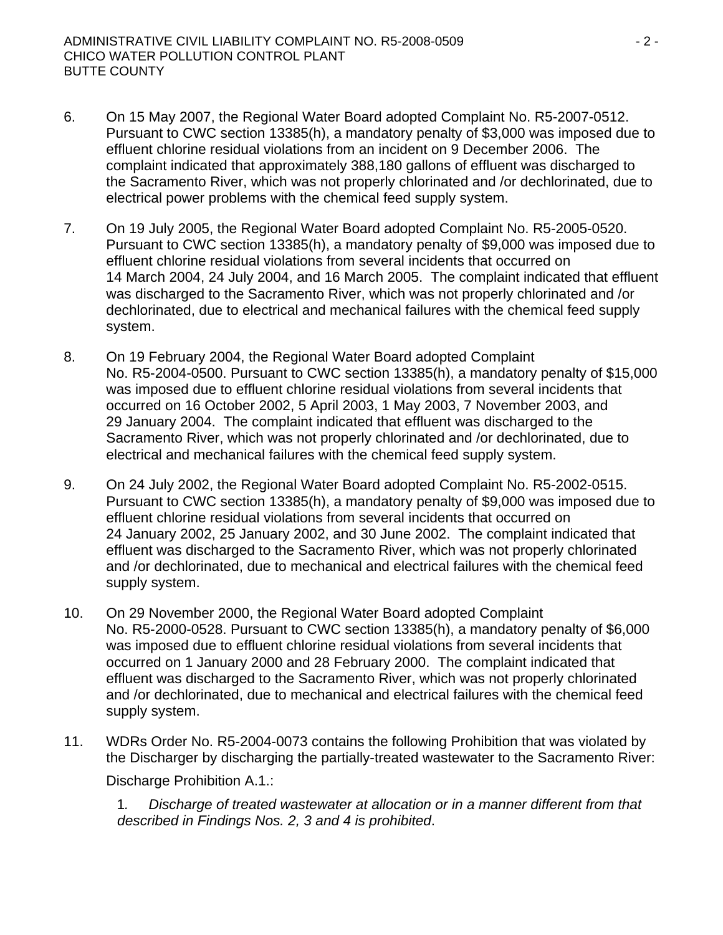- 6. On 15 May 2007, the Regional Water Board adopted Complaint No. R5-2007-0512. Pursuant to CWC section 13385(h), a mandatory penalty of \$3,000 was imposed due to effluent chlorine residual violations from an incident on 9 December 2006. The complaint indicated that approximately 388,180 gallons of effluent was discharged to the Sacramento River, which was not properly chlorinated and /or dechlorinated, due to electrical power problems with the chemical feed supply system.
- 7. On 19 July 2005, the Regional Water Board adopted Complaint No. R5-2005-0520. Pursuant to CWC section 13385(h), a mandatory penalty of \$9,000 was imposed due to effluent chlorine residual violations from several incidents that occurred on 14 March 2004, 24 July 2004, and 16 March 2005. The complaint indicated that effluent was discharged to the Sacramento River, which was not properly chlorinated and /or dechlorinated, due to electrical and mechanical failures with the chemical feed supply system.
- 8. On 19 February 2004, the Regional Water Board adopted Complaint No. R5-2004-0500. Pursuant to CWC section 13385(h), a mandatory penalty of \$15,000 was imposed due to effluent chlorine residual violations from several incidents that occurred on 16 October 2002, 5 April 2003, 1 May 2003, 7 November 2003, and 29 January 2004. The complaint indicated that effluent was discharged to the Sacramento River, which was not properly chlorinated and /or dechlorinated, due to electrical and mechanical failures with the chemical feed supply system.
- 9. On 24 July 2002, the Regional Water Board adopted Complaint No. R5-2002-0515. Pursuant to CWC section 13385(h), a mandatory penalty of \$9,000 was imposed due to effluent chlorine residual violations from several incidents that occurred on 24 January 2002, 25 January 2002, and 30 June 2002. The complaint indicated that effluent was discharged to the Sacramento River, which was not properly chlorinated and /or dechlorinated, due to mechanical and electrical failures with the chemical feed supply system.
- 10. On 29 November 2000, the Regional Water Board adopted Complaint No. R5-2000-0528. Pursuant to CWC section 13385(h), a mandatory penalty of \$6,000 was imposed due to effluent chlorine residual violations from several incidents that occurred on 1 January 2000 and 28 February 2000. The complaint indicated that effluent was discharged to the Sacramento River, which was not properly chlorinated and /or dechlorinated, due to mechanical and electrical failures with the chemical feed supply system.
- 11. WDRs Order No. R5-2004-0073 contains the following Prohibition that was violated by the Discharger by discharging the partially-treated wastewater to the Sacramento River:

Discharge Prohibition A.1.:

1*. Discharge of treated wastewater at allocation or in a manner different from that described in Findings Nos. 2, 3 and 4 is prohibited*.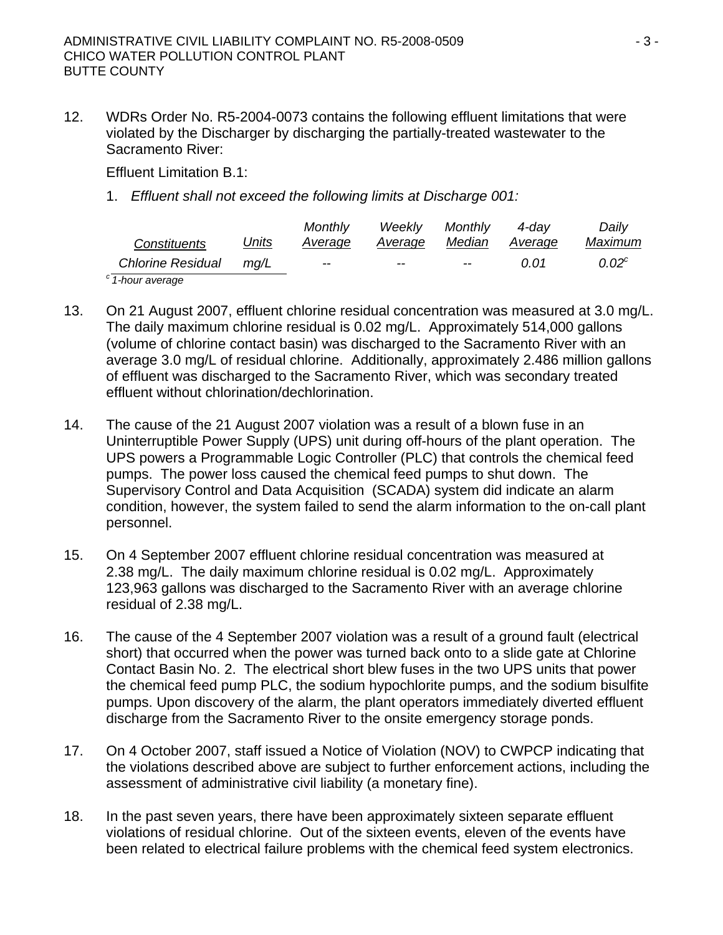12. WDRs Order No. R5-2004-0073 contains the following effluent limitations that were violated by the Discharger by discharging the partially-treated wastewater to the Sacramento River:

Effluent Limitation B.1:

1. *Effluent shall not exceed the following limits at Discharge 001:* 

|                        |              | <b>Monthly</b> | Weekly  | Monthly | 4-dav   | Daily    |
|------------------------|--------------|----------------|---------|---------|---------|----------|
| <i>Constituents</i>    | <u>Units</u> | Average        | Average | Median  | Average | Maximum  |
| Chlorine Residual mg/L |              | $- -$          | $- -$   | $- -$   | 0.01    | $0.02^c$ |
| $1$ hour guarage       |              |                |         |         |         |          |

*c 1-hour average* 

- 13. On 21 August 2007, effluent chlorine residual concentration was measured at 3.0 mg/L. The daily maximum chlorine residual is 0.02 mg/L. Approximately 514,000 gallons (volume of chlorine contact basin) was discharged to the Sacramento River with an average 3.0 mg/L of residual chlorine. Additionally, approximately 2.486 million gallons of effluent was discharged to the Sacramento River, which was secondary treated effluent without chlorination/dechlorination.
- 14. The cause of the 21 August 2007 violation was a result of a blown fuse in an Uninterruptible Power Supply (UPS) unit during off-hours of the plant operation. The UPS powers a Programmable Logic Controller (PLC) that controls the chemical feed pumps. The power loss caused the chemical feed pumps to shut down. The Supervisory Control and Data Acquisition (SCADA) system did indicate an alarm condition, however, the system failed to send the alarm information to the on-call plant personnel.
- 15. On 4 September 2007 effluent chlorine residual concentration was measured at 2.38 mg/L. The daily maximum chlorine residual is 0.02 mg/L. Approximately 123,963 gallons was discharged to the Sacramento River with an average chlorine residual of 2.38 mg/L.
- 16. The cause of the 4 September 2007 violation was a result of a ground fault (electrical short) that occurred when the power was turned back onto to a slide gate at Chlorine Contact Basin No. 2. The electrical short blew fuses in the two UPS units that power the chemical feed pump PLC, the sodium hypochlorite pumps, and the sodium bisulfite pumps. Upon discovery of the alarm, the plant operators immediately diverted effluent discharge from the Sacramento River to the onsite emergency storage ponds.
- 17. On 4 October 2007, staff issued a Notice of Violation (NOV) to CWPCP indicating that the violations described above are subject to further enforcement actions, including the assessment of administrative civil liability (a monetary fine).
- 18. In the past seven years, there have been approximately sixteen separate effluent violations of residual chlorine. Out of the sixteen events, eleven of the events have been related to electrical failure problems with the chemical feed system electronics.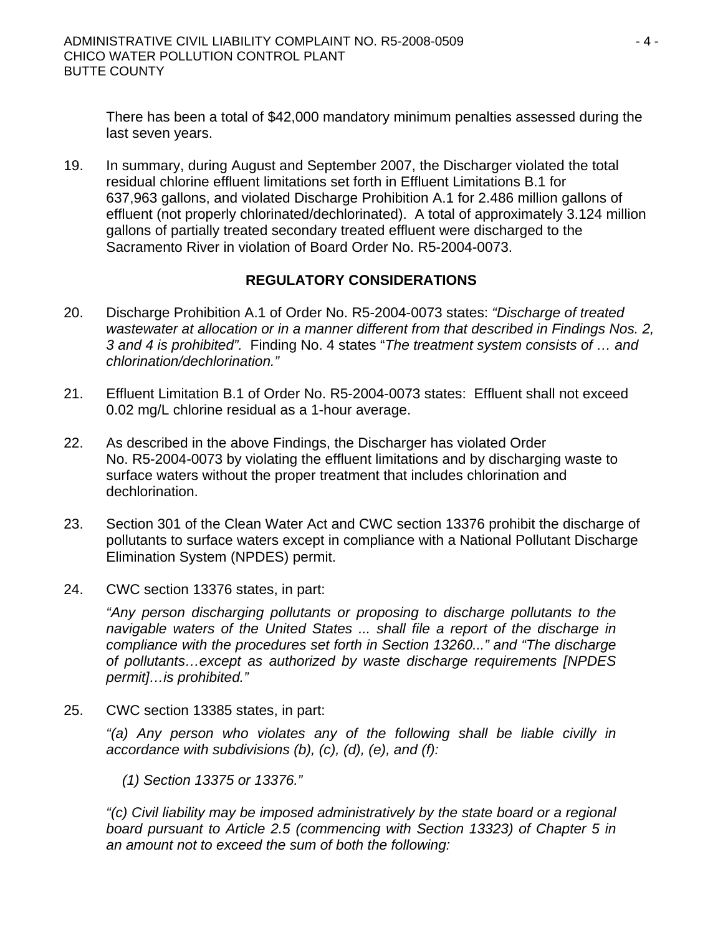There has been a total of \$42,000 mandatory minimum penalties assessed during the last seven years.

19. In summary, during August and September 2007, the Discharger violated the total residual chlorine effluent limitations set forth in Effluent Limitations B.1 for 637,963 gallons, and violated Discharge Prohibition A.1 for 2.486 million gallons of effluent (not properly chlorinated/dechlorinated). A total of approximately 3.124 million gallons of partially treated secondary treated effluent were discharged to the Sacramento River in violation of Board Order No. R5-2004-0073.

# **REGULATORY CONSIDERATIONS**

- 20. Discharge Prohibition A.1 of Order No. R5-2004-0073 states: *"Discharge of treated wastewater at allocation or in a manner different from that described in Findings Nos. 2, 3 and 4 is prohibited".* Finding No. 4 states "*The treatment system consists of … and chlorination/dechlorination."*
- 21. Effluent Limitation B.1 of Order No. R5-2004-0073 states: Effluent shall not exceed 0.02 mg/L chlorine residual as a 1-hour average.
- 22. As described in the above Findings, the Discharger has violated Order No. R5-2004-0073 by violating the effluent limitations and by discharging waste to surface waters without the proper treatment that includes chlorination and dechlorination.
- 23. Section 301 of the Clean Water Act and CWC section 13376 prohibit the discharge of pollutants to surface waters except in compliance with a National Pollutant Discharge Elimination System (NPDES) permit.
- 24. CWC section 13376 states, in part:

*"Any person discharging pollutants or proposing to discharge pollutants to the navigable waters of the United States ... shall file a report of the discharge in compliance with the procedures set forth in Section 13260..." and "The discharge of pollutants…except as authorized by waste discharge requirements [NPDES permit]…is prohibited."*

25. CWC section 13385 states, in part:

*"(a) Any person who violates any of the following shall be liable civilly in accordance with subdivisions (b), (c), (d), (e), and (f):* 

 *(1) Section 13375 or 13376."* 

*"(c) Civil liability may be imposed administratively by the state board or a regional board pursuant to Article 2.5 (commencing with Section 13323) of Chapter 5 in an amount not to exceed the sum of both the following:*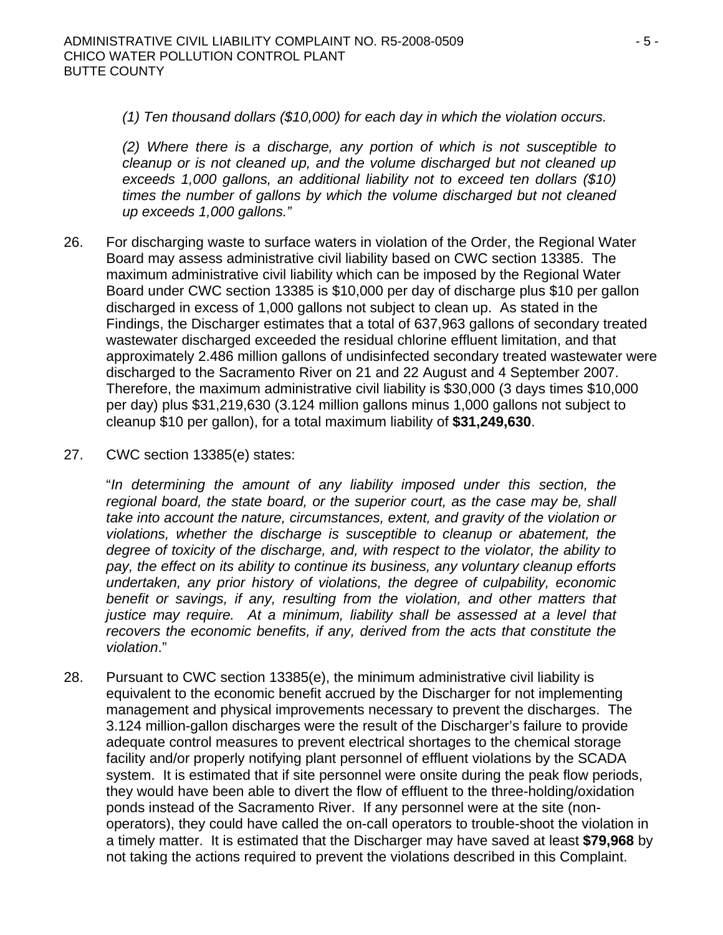*(1) Ten thousand dollars (\$10,000) for each day in which the violation occurs.* 

*(2) Where there is a discharge, any portion of which is not susceptible to cleanup or is not cleaned up, and the volume discharged but not cleaned up exceeds 1,000 gallons, an additional liability not to exceed ten dollars (\$10) times the number of gallons by which the volume discharged but not cleaned up exceeds 1,000 gallons."*

- 26. For discharging waste to surface waters in violation of the Order, the Regional Water Board may assess administrative civil liability based on CWC section 13385. The maximum administrative civil liability which can be imposed by the Regional Water Board under CWC section 13385 is \$10,000 per day of discharge plus \$10 per gallon discharged in excess of 1,000 gallons not subject to clean up. As stated in the Findings, the Discharger estimates that a total of 637,963 gallons of secondary treated wastewater discharged exceeded the residual chlorine effluent limitation, and that approximately 2.486 million gallons of undisinfected secondary treated wastewater were discharged to the Sacramento River on 21 and 22 August and 4 September 2007. Therefore, the maximum administrative civil liability is \$30,000 (3 days times \$10,000 per day) plus \$31,219,630 (3.124 million gallons minus 1,000 gallons not subject to cleanup \$10 per gallon), for a total maximum liability of **\$31,249,630**.
- 27. CWC section 13385(e) states:

"*In determining the amount of any liability imposed under this section, the*  regional board, the state board, or the superior court, as the case may be, shall *take into account the nature, circumstances, extent, and gravity of the violation or violations, whether the discharge is susceptible to cleanup or abatement, the degree of toxicity of the discharge, and, with respect to the violator, the ability to pay, the effect on its ability to continue its business, any voluntary cleanup efforts undertaken, any prior history of violations, the degree of culpability, economic benefit or savings, if any, resulting from the violation, and other matters that justice may require. At a minimum, liability shall be assessed at a level that recovers the economic benefits, if any, derived from the acts that constitute the violation*."

28. Pursuant to CWC section 13385(e), the minimum administrative civil liability is equivalent to the economic benefit accrued by the Discharger for not implementing management and physical improvements necessary to prevent the discharges. The 3.124 million-gallon discharges were the result of the Discharger's failure to provide adequate control measures to prevent electrical shortages to the chemical storage facility and/or properly notifying plant personnel of effluent violations by the SCADA system. It is estimated that if site personnel were onsite during the peak flow periods, they would have been able to divert the flow of effluent to the three-holding/oxidation ponds instead of the Sacramento River. If any personnel were at the site (nonoperators), they could have called the on-call operators to trouble-shoot the violation in a timely matter. It is estimated that the Discharger may have saved at least **\$79,968** by not taking the actions required to prevent the violations described in this Complaint.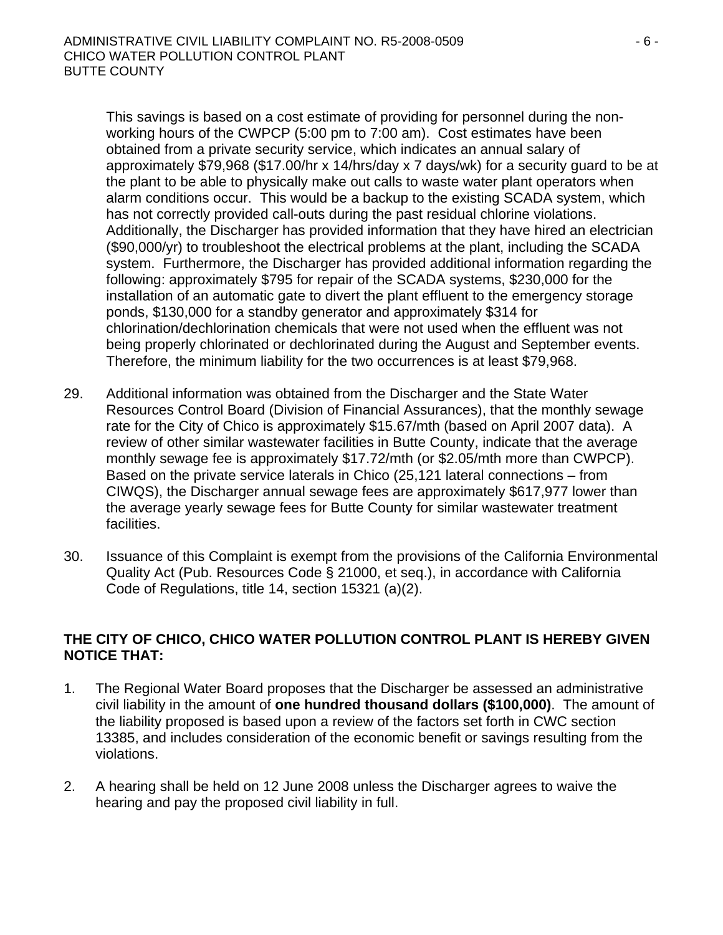This savings is based on a cost estimate of providing for personnel during the nonworking hours of the CWPCP (5:00 pm to 7:00 am). Cost estimates have been obtained from a private security service, which indicates an annual salary of approximately \$79,968 (\$17.00/hr x 14/hrs/day x 7 days/wk) for a security guard to be at the plant to be able to physically make out calls to waste water plant operators when alarm conditions occur. This would be a backup to the existing SCADA system, which has not correctly provided call-outs during the past residual chlorine violations. Additionally, the Discharger has provided information that they have hired an electrician (\$90,000/yr) to troubleshoot the electrical problems at the plant, including the SCADA system. Furthermore, the Discharger has provided additional information regarding the following: approximately \$795 for repair of the SCADA systems, \$230,000 for the installation of an automatic gate to divert the plant effluent to the emergency storage ponds, \$130,000 for a standby generator and approximately \$314 for chlorination/dechlorination chemicals that were not used when the effluent was not being properly chlorinated or dechlorinated during the August and September events. Therefore, the minimum liability for the two occurrences is at least \$79,968.

- 29. Additional information was obtained from the Discharger and the State Water Resources Control Board (Division of Financial Assurances), that the monthly sewage rate for the City of Chico is approximately \$15.67/mth (based on April 2007 data). A review of other similar wastewater facilities in Butte County, indicate that the average monthly sewage fee is approximately \$17.72/mth (or \$2.05/mth more than CWPCP). Based on the private service laterals in Chico (25,121 lateral connections – from CIWQS), the Discharger annual sewage fees are approximately \$617,977 lower than the average yearly sewage fees for Butte County for similar wastewater treatment facilities.
- 30. Issuance of this Complaint is exempt from the provisions of the California Environmental Quality Act (Pub. Resources Code § 21000, et seq.), in accordance with California Code of Regulations, title 14, section 15321 (a)(2).

# **THE CITY OF CHICO, CHICO WATER POLLUTION CONTROL PLANT IS HEREBY GIVEN NOTICE THAT:**

- 1. The Regional Water Board proposes that the Discharger be assessed an administrative civil liability in the amount of **one hundred thousand dollars (\$100,000)**. The amount of the liability proposed is based upon a review of the factors set forth in CWC section 13385, and includes consideration of the economic benefit or savings resulting from the violations.
- 2. A hearing shall be held on 12 June 2008 unless the Discharger agrees to waive the hearing and pay the proposed civil liability in full.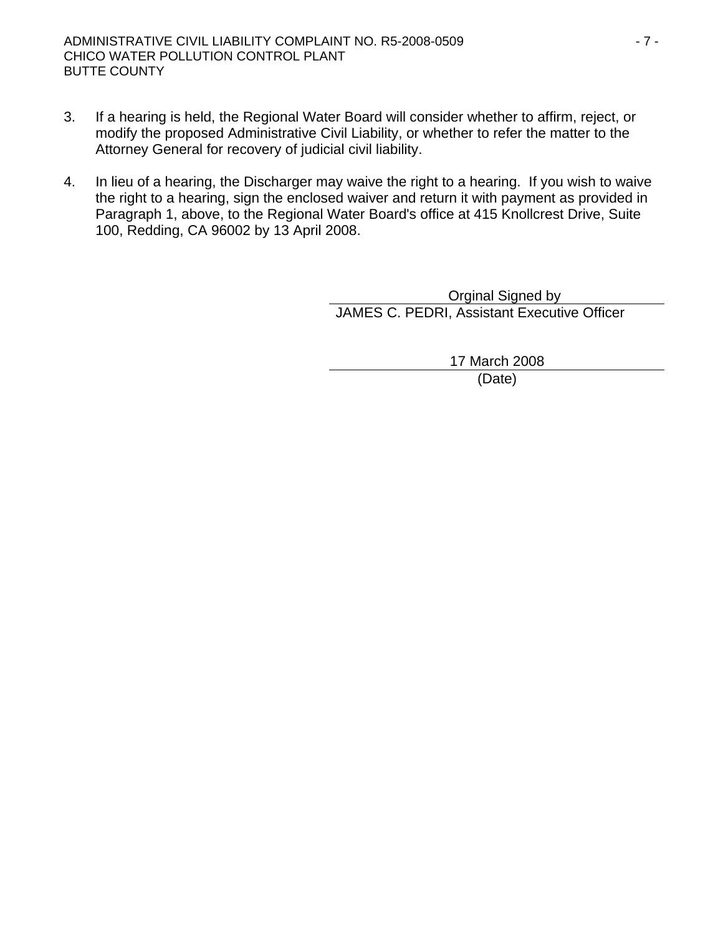- 3. If a hearing is held, the Regional Water Board will consider whether to affirm, reject, or modify the proposed Administrative Civil Liability, or whether to refer the matter to the Attorney General for recovery of judicial civil liability.
- 4. In lieu of a hearing, the Discharger may waive the right to a hearing. If you wish to waive the right to a hearing, sign the enclosed waiver and return it with payment as provided in Paragraph 1, above, to the Regional Water Board's office at 415 Knollcrest Drive, Suite 100, Redding, CA 96002 by 13 April 2008.

 Orginal Signed by JAMES C. PEDRI, Assistant Executive Officer

> 17 March 2008 (Date)